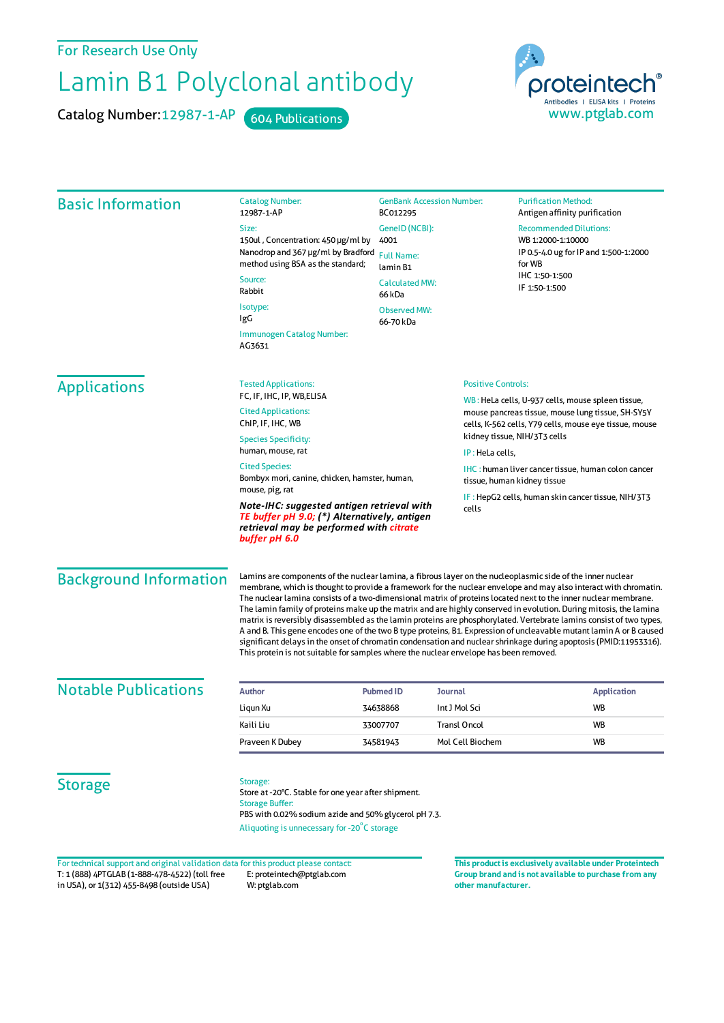For Research Use Only

## Lamin B1 Polyclonal antibody

Catalog Number: 12987-1-AP 604 Publications



| <b>Basic Information</b> | <b>Catalog Number:</b><br>12987-1-AP                                                                                                                                                                                  | <b>GenBank Accession Number:</b><br>BC012295<br>GeneID (NCBI):<br>4001<br><b>Full Name:</b><br>lamin B1                                                                                                                                                                                                                                                                                                                                                                                                                                                                                                                                                                                                                                                                                                                                                                                                                             |                                                                                                                                                                                                  | <b>Purification Method:</b><br>Antigen affinity purification                                          |                                                                  |  |                                                                                          |
|--------------------------|-----------------------------------------------------------------------------------------------------------------------------------------------------------------------------------------------------------------------|-------------------------------------------------------------------------------------------------------------------------------------------------------------------------------------------------------------------------------------------------------------------------------------------------------------------------------------------------------------------------------------------------------------------------------------------------------------------------------------------------------------------------------------------------------------------------------------------------------------------------------------------------------------------------------------------------------------------------------------------------------------------------------------------------------------------------------------------------------------------------------------------------------------------------------------|--------------------------------------------------------------------------------------------------------------------------------------------------------------------------------------------------|-------------------------------------------------------------------------------------------------------|------------------------------------------------------------------|--|------------------------------------------------------------------------------------------|
|                          | Size:                                                                                                                                                                                                                 |                                                                                                                                                                                                                                                                                                                                                                                                                                                                                                                                                                                                                                                                                                                                                                                                                                                                                                                                     |                                                                                                                                                                                                  | <b>Recommended Dilutions:</b><br>WB 1:2000-1:10000<br>IP 0.5-4.0 ug for IP and 1:500-1:2000<br>for WB |                                                                  |  |                                                                                          |
|                          | 150ul, Concentration: 450 µg/ml by<br>Nanodrop and 367 µg/ml by Bradford                                                                                                                                              |                                                                                                                                                                                                                                                                                                                                                                                                                                                                                                                                                                                                                                                                                                                                                                                                                                                                                                                                     |                                                                                                                                                                                                  |                                                                                                       |                                                                  |  |                                                                                          |
|                          | method using BSA as the standard;                                                                                                                                                                                     |                                                                                                                                                                                                                                                                                                                                                                                                                                                                                                                                                                                                                                                                                                                                                                                                                                                                                                                                     |                                                                                                                                                                                                  |                                                                                                       |                                                                  |  |                                                                                          |
|                          | Source:                                                                                                                                                                                                               | <b>Calculated MW:</b>                                                                                                                                                                                                                                                                                                                                                                                                                                                                                                                                                                                                                                                                                                                                                                                                                                                                                                               |                                                                                                                                                                                                  | IHC 1:50-1:500                                                                                        |                                                                  |  |                                                                                          |
|                          | Rabbit                                                                                                                                                                                                                | 66 kDa                                                                                                                                                                                                                                                                                                                                                                                                                                                                                                                                                                                                                                                                                                                                                                                                                                                                                                                              |                                                                                                                                                                                                  | IF 1:50-1:500                                                                                         |                                                                  |  |                                                                                          |
|                          | Isotype:<br>IgG                                                                                                                                                                                                       | Observed MW:                                                                                                                                                                                                                                                                                                                                                                                                                                                                                                                                                                                                                                                                                                                                                                                                                                                                                                                        |                                                                                                                                                                                                  |                                                                                                       |                                                                  |  |                                                                                          |
|                          | Immunogen Catalog Number:                                                                                                                                                                                             | 66-70 kDa                                                                                                                                                                                                                                                                                                                                                                                                                                                                                                                                                                                                                                                                                                                                                                                                                                                                                                                           |                                                                                                                                                                                                  |                                                                                                       |                                                                  |  |                                                                                          |
|                          | AG3631                                                                                                                                                                                                                |                                                                                                                                                                                                                                                                                                                                                                                                                                                                                                                                                                                                                                                                                                                                                                                                                                                                                                                                     |                                                                                                                                                                                                  |                                                                                                       |                                                                  |  |                                                                                          |
| <b>Applications</b>      | <b>Tested Applications:</b><br>FC, IF, IHC, IP, WB, ELISA<br><b>Cited Applications:</b><br>ChIP, IF, IHC, WB<br><b>Species Specificity:</b>                                                                           |                                                                                                                                                                                                                                                                                                                                                                                                                                                                                                                                                                                                                                                                                                                                                                                                                                                                                                                                     | <b>Positive Controls:</b>                                                                                                                                                                        |                                                                                                       |                                                                  |  |                                                                                          |
|                          |                                                                                                                                                                                                                       |                                                                                                                                                                                                                                                                                                                                                                                                                                                                                                                                                                                                                                                                                                                                                                                                                                                                                                                                     | WB: HeLa cells, U-937 cells, mouse spleen tissue,<br>mouse pancreas tissue, mouse lung tissue, SH-SY5Y<br>cells, K-562 cells, Y79 cells, mouse eye tissue, mouse<br>kidney tissue, NIH/3T3 cells |                                                                                                       |                                                                  |  |                                                                                          |
|                          |                                                                                                                                                                                                                       |                                                                                                                                                                                                                                                                                                                                                                                                                                                                                                                                                                                                                                                                                                                                                                                                                                                                                                                                     |                                                                                                                                                                                                  |                                                                                                       | human, mouse, rat<br>IP: HeLa cells,<br><b>Cited Species:</b>    |  |                                                                                          |
|                          |                                                                                                                                                                                                                       |                                                                                                                                                                                                                                                                                                                                                                                                                                                                                                                                                                                                                                                                                                                                                                                                                                                                                                                                     |                                                                                                                                                                                                  |                                                                                                       | Bombyx mori, canine, chicken, hamster, human,<br>mouse, pig, rat |  | <b>IHC:</b> human liver cancer tissue, human colon cancer<br>tissue, human kidney tissue |
|                          | IF: HepG2 cells, human skin cancer tissue, NIH/3T3<br>Note-IHC: suggested antigen retrieval with<br>cells<br>TE buffer pH 9.0; (*) Alternatively, antigen<br>retrieval may be performed with citrate<br>buffer pH 6.0 |                                                                                                                                                                                                                                                                                                                                                                                                                                                                                                                                                                                                                                                                                                                                                                                                                                                                                                                                     |                                                                                                                                                                                                  |                                                                                                       |                                                                  |  |                                                                                          |
|                          | <b>Background Information</b>                                                                                                                                                                                         | Lamins are components of the nuclear lamina, a fibrous layer on the nucleoplasmic side of the inner nuclear<br>membrane, which is thought to provide a framework for the nuclear envelope and may also interact with chromatin.<br>The nuclear lamina consists of a two-dimensional matrix of proteins located next to the inner nuclear membrane.<br>The lamin family of proteins make up the matrix and are highly conserved in evolution. During mitosis, the lamina<br>matrix is reversibly disassembled as the lamin proteins are phosphorylated. Vertebrate lamins consist of two types,<br>A and B. This gene encodes one of the two B type proteins, B1. Expression of uncleavable mutant lamin A or B caused<br>significant delays in the onset of chromatin condensation and nuclear shrinkage during apoptosis (PMID:11953316).<br>This protein is not suitable for samples where the nuclear envelope has been removed. |                                                                                                                                                                                                  |                                                                                                       |                                                                  |  |                                                                                          |
|                          | <b>Notable Publications</b>                                                                                                                                                                                           | <b>Author</b>                                                                                                                                                                                                                                                                                                                                                                                                                                                                                                                                                                                                                                                                                                                                                                                                                                                                                                                       | <b>Pubmed ID</b><br>Journal                                                                                                                                                                      |                                                                                                       | <b>Application</b>                                               |  |                                                                                          |
| Liqun Xu                 |                                                                                                                                                                                                                       | 34638868                                                                                                                                                                                                                                                                                                                                                                                                                                                                                                                                                                                                                                                                                                                                                                                                                                                                                                                            | Int J Mol Sci                                                                                                                                                                                    | WB                                                                                                    |                                                                  |  |                                                                                          |
| Kaili Liu                |                                                                                                                                                                                                                       | 33007707                                                                                                                                                                                                                                                                                                                                                                                                                                                                                                                                                                                                                                                                                                                                                                                                                                                                                                                            | <b>Transl Oncol</b>                                                                                                                                                                              | WB                                                                                                    |                                                                  |  |                                                                                          |
| Praveen K Dubey          |                                                                                                                                                                                                                       | 34581943                                                                                                                                                                                                                                                                                                                                                                                                                                                                                                                                                                                                                                                                                                                                                                                                                                                                                                                            | Mol Cell Biochem                                                                                                                                                                                 | WB                                                                                                    |                                                                  |  |                                                                                          |
| <b>Storage</b>           | Storage:<br>Store at -20°C. Stable for one year after shipment.<br><b>Storage Buffer:</b><br>PBS with 0.02% sodium azide and 50% glycerol pH 7.3.<br>Aliquoting is unnecessary for -20°C storage                      |                                                                                                                                                                                                                                                                                                                                                                                                                                                                                                                                                                                                                                                                                                                                                                                                                                                                                                                                     |                                                                                                                                                                                                  |                                                                                                       |                                                                  |  |                                                                                          |

T: 1 (888) 4PTGLAB (1-888-478-4522) (toll free in USA), or 1(312) 455-8498 (outside USA) E: proteintech@ptglab.com W: ptglab.com Fortechnical support and original validation data forthis product please contact: **This productis exclusively available under Proteintech**

**Group brand and is not available to purchase from any other manufacturer.**